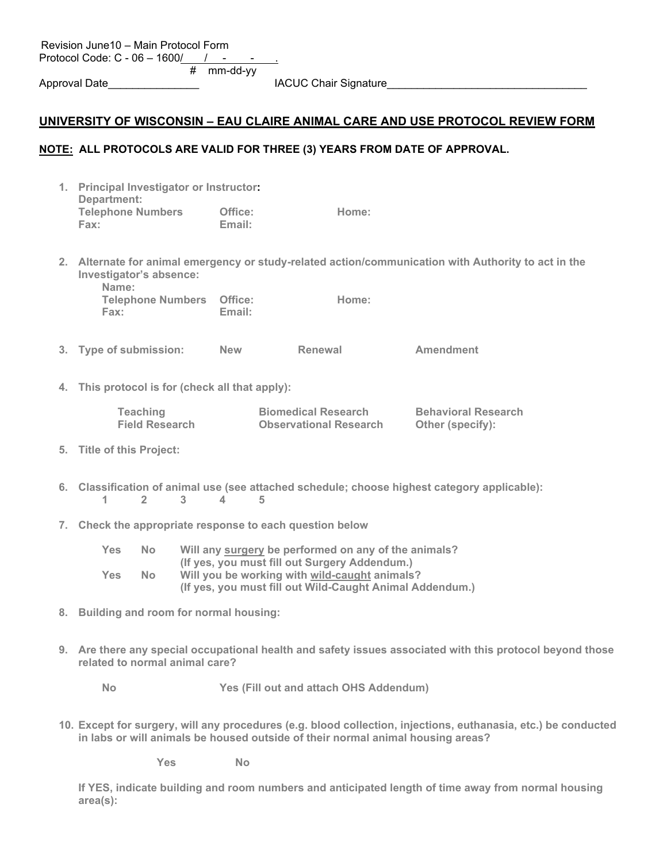|    | Revision June10 - Main Protocol Form<br>Protocol Code: C - 06 - 1600/ /                                                                                                                                                               |  |  |  |  |
|----|---------------------------------------------------------------------------------------------------------------------------------------------------------------------------------------------------------------------------------------|--|--|--|--|
|    | mm-dd-yy<br>#<br>Approval Date_                                                                                                                                                                                                       |  |  |  |  |
|    | <u> UNIVERSITY OF WISCONSIN – EAU CLAIRE ANIMAL CARE AND USE PROTOCOL REVIEW FORM</u>                                                                                                                                                 |  |  |  |  |
|    | NOTE: ALL PROTOCOLS ARE VALID FOR THREE (3) YEARS FROM DATE OF APPROVAL.                                                                                                                                                              |  |  |  |  |
|    | 1. Principal Investigator or Instructor:<br>Department:                                                                                                                                                                               |  |  |  |  |
|    | <b>Telephone Numbers</b><br>Office:<br>Home:<br>Fax:<br>Email:                                                                                                                                                                        |  |  |  |  |
|    | 2. Alternate for animal emergency or study-related action/communication with Authority to act in the<br>Investigator's absence:<br>Name:                                                                                              |  |  |  |  |
|    | <b>Telephone Numbers Office:</b><br>Home:<br>Email:<br>Fax:                                                                                                                                                                           |  |  |  |  |
|    | 3. Type of submission:<br>Renewal<br><b>Amendment</b><br><b>New</b>                                                                                                                                                                   |  |  |  |  |
|    | 4. This protocol is for (check all that apply):                                                                                                                                                                                       |  |  |  |  |
|    | <b>Teaching</b><br><b>Biomedical Research</b><br><b>Behavioral Research</b><br><b>Field Research</b><br><b>Observational Research</b><br>Other (specify):                                                                             |  |  |  |  |
|    | 5. Title of this Project:                                                                                                                                                                                                             |  |  |  |  |
|    | 6. Classification of animal use (see attached schedule; choose highest category applicable):<br>O <sub>2</sub><br>O <sub>1</sub><br>$\bigcirc$ 3<br>$\bigcirc$ 4<br>O <sub>5</sub>                                                    |  |  |  |  |
|    | 7. Check the appropriate response to each question below                                                                                                                                                                              |  |  |  |  |
|    | Will any surgery be performed on any of the animals?<br>Yes  <br>(If yes, you must fill out Surgery Addendum.)<br>Yes No<br>Will you be working with wild-caught animals?<br>(If yes, you must fill out Wild-Caught Animal Addendum.) |  |  |  |  |
| 8. | Building and room for normal housing:                                                                                                                                                                                                 |  |  |  |  |
|    | 9. Are there any special occupational health and safety issues associated with this protocol beyond those<br>related to normal animal care?                                                                                           |  |  |  |  |
|    | Yes (Fill out and attach OHS Addendum)<br>INo                                                                                                                                                                                         |  |  |  |  |
|    | 10. Except for surgery, will any procedures (e.g. blood collection, injections, euthanasia, etc.) be conducted<br>in labs or will animals be housed outside of their normal animal housing areas?                                     |  |  |  |  |
|    | Yes<br><b>No</b>                                                                                                                                                                                                                      |  |  |  |  |

**If YES, indicate building and room numbers and anticipated length of time away from normal housing area(s):**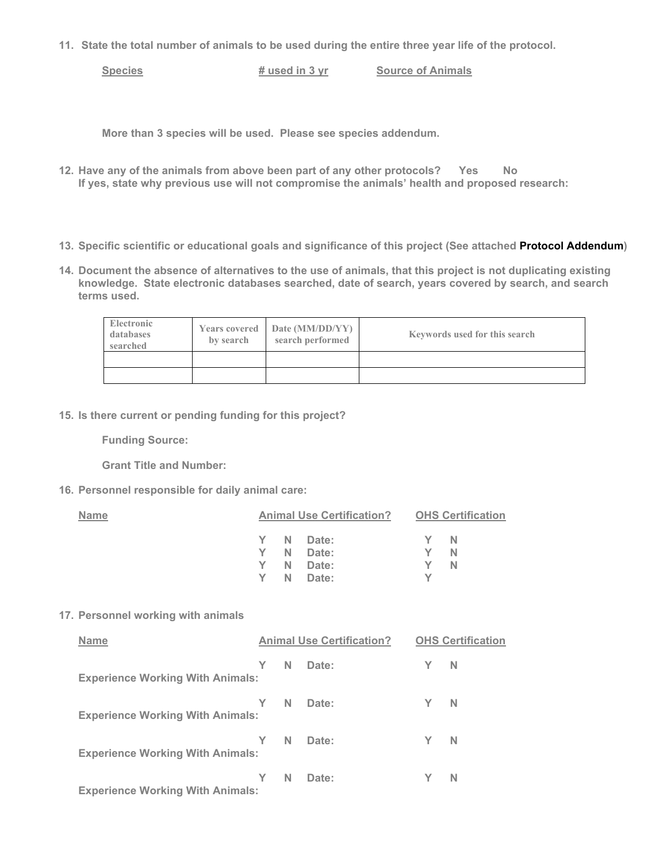**11. State the total number of animals to be used during the entire three year life of the protocol.**

**Species # used in 3 yr Source of Animals**

**More than 3 species will be used. Please see species addendum.**

- 12. Have any of the animals from above been part of any other protocols? Nes No **If yes, state why previous use will not compromise the animals' health and proposed research:**
- **13. Specific scientific or educational goals and significance of this project (See attached Protocol Addendum)**
- **14. Document the absence of alternatives to the use of animals, that this project is not duplicating existing knowledge. State electronic databases searched, date of search, years covered by search, and search terms used.**

| <b>Electronic</b><br>databases<br>searched | <b>Years covered</b><br>by search | Date (MM/DD/YY)<br>search performed | <b>Keywords used for this search</b> |
|--------------------------------------------|-----------------------------------|-------------------------------------|--------------------------------------|
|                                            |                                   |                                     |                                      |
|                                            |                                   |                                     |                                      |

**15. Is there current or pending funding for this project?**

**Funding Source:**

**Grant Title and Number:**

**16. Personnel responsible for daily animal care:**

| <b>Name</b>                             | <b>Animal Use Certification?</b> |                                  | <b>OHS Certification</b>                                    |  |  |  |  |
|-----------------------------------------|----------------------------------|----------------------------------|-------------------------------------------------------------|--|--|--|--|
|                                         | ٦N<br>Y I N                      | Date:<br>Date:<br>Date:<br>Date: | – N<br>– N<br>۰Y۰<br>TY EIN<br>$\square$ $\times$ $\square$ |  |  |  |  |
| 17. Personnel working with animals      |                                  |                                  |                                                             |  |  |  |  |
| <b>Name</b>                             |                                  | <b>Animal Use Certification?</b> | <b>OHS Certification</b>                                    |  |  |  |  |
| <b>Experience Working With Animals:</b> | $\Box$ y $\Box$ n                | Date:                            | $\Box$ y $\Box$ n                                           |  |  |  |  |
| <b>Experience Working With Animals:</b> | $\Box$ y $\Box$ n                | Date:                            | $\Box$ Y $\Box$ N                                           |  |  |  |  |
| <b>Experience Working With Animals:</b> | $\Box$ y $\Box$ n                | Date:                            | $\Box$ y $\Box$ n                                           |  |  |  |  |
| <b>Experience Working With Animals:</b> | YIN                              | Date:                            | $\Box$ y i in                                               |  |  |  |  |